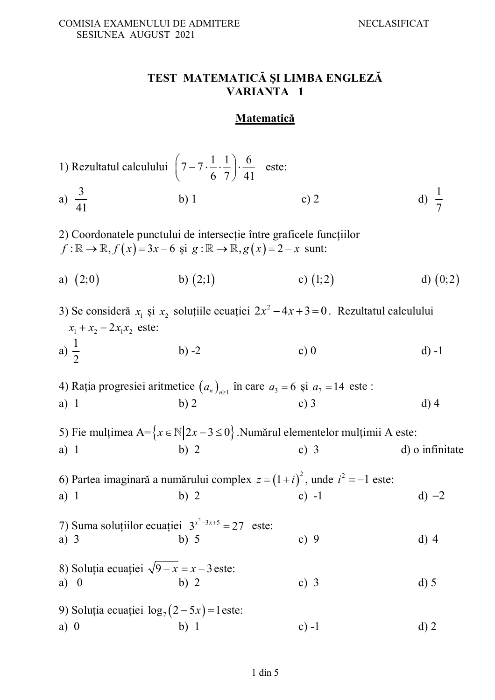#### **TEST MATEMATICĂ ŞI LIMBA ENGLEZĂ VARIANTA 1**

## **Matematică**

|                                              | 1) Rezultatul calculului $\left(7-7\cdot\frac{1}{6}\cdot\frac{1}{7}\right)\cdot\frac{6}{41}$ este:  |                                                                                                 |                  |
|----------------------------------------------|-----------------------------------------------------------------------------------------------------|-------------------------------------------------------------------------------------------------|------------------|
| a) $\frac{3}{41}$                            | $b)$ 1                                                                                              | c) $2$                                                                                          | d) $\frac{1}{7}$ |
|                                              | $f: \mathbb{R} \to \mathbb{R}, f(x) = 3x - 6$ și $g: \mathbb{R} \to \mathbb{R}, g(x) = 2 - x$ sunt: | 2) Coordonatele punctului de intersecție între graficele funcțiilor                             |                  |
| a) $(2,0)$                                   | b) $(2;1)$                                                                                          | c) $(1,2)$                                                                                      | d) $(0,2)$       |
| $x_1 + x_2 - 2x_1x_2$ este:                  |                                                                                                     | 3) Se consideră $x_1$ și $x_2$ soluțiile ecuației $2x^2 - 4x + 3 = 0$ . Rezultatul calculului   |                  |
| a) $\frac{1}{2}$                             | $b) -2$                                                                                             | c) $0$                                                                                          | $d) -1$          |
|                                              |                                                                                                     | 4) Rația progresiei aritmetice $(a_n)_{n\geq 1}$ în care $a_3 = 6$ și $a_7 = 14$ este :         |                  |
| $a)$ 1                                       | b)2                                                                                                 | c) $3$                                                                                          | $d)$ 4           |
|                                              |                                                                                                     | 5) Fie mulțimea A= $\{x \in \mathbb{N}   2x - 3 \le 0\}$ . Numărul elementelor mulțimii A este: |                  |
| $a)$ 1                                       | b) $2$                                                                                              | c) $3$                                                                                          | d) o infinitate  |
|                                              |                                                                                                     | 6) Partea imaginară a numărului complex $z = (1 + i)^2$ , unde $i^2 = -1$ este:                 |                  |
| $a)$ 1                                       | b)2                                                                                                 | c) $-1$                                                                                         | $d) -2$          |
| a) $3$                                       | 7) Suma soluțiilor ecuației $3^{x^2-3x+5} = 27$ este:<br>b) 5                                       | c) $9$                                                                                          | $d)$ 4           |
| 8) Soluția ecuației $\sqrt{9-x} = x-3$ este: |                                                                                                     |                                                                                                 |                  |
| a) 0                                         | b) 2                                                                                                | c) $3$                                                                                          | $d)$ 5           |
|                                              | 9) Soluția ecuației $\log_7(2-5x) = 1$ este:                                                        |                                                                                                 |                  |
| $a)$ 0                                       | b)1                                                                                                 | $c) -1$                                                                                         | $d)$ 2           |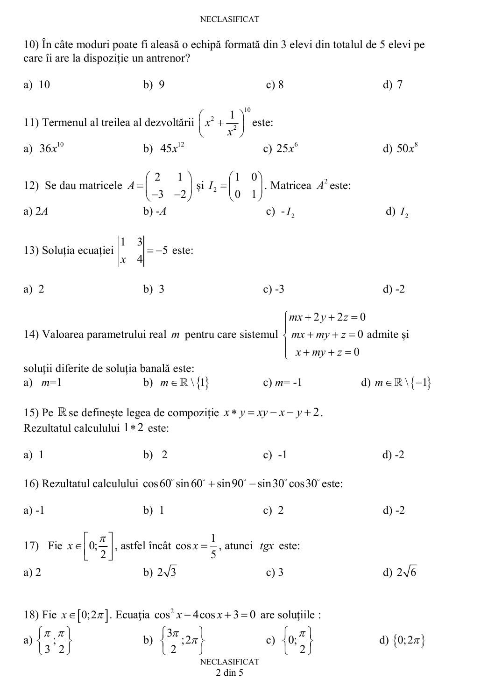#### NECLASIFICAT

10) În câte moduri poate fi aleasă o echipă formată din 3 elevi din totalul de 5 elevi pe care îi are la dispoziție un antrenor?

a) 10 b) 9 c) 8 d) 7  
\n11) Termenu al treilea al dezvoltării 
$$
\left(x^2 + \frac{1}{x^2}\right)^{10}
$$
este:  
\na)  $36x^{10}$  b)  $45x^{12}$  c)  $25x^6$  d)  $50x^8$   
\n12) Se dau matrice  $A = \begin{pmatrix} 2 & 1 \\ -3 & -2 \end{pmatrix}$  și  $I_2 = \begin{pmatrix} 1 & 0 \\ 0 & 1 \end{pmatrix}$ . Matricea  $A^2$  este:  
\na) 2A b) -A c) - $I_2$  d)  $I_2$   
\n13) Soluția ecuației  $\begin{vmatrix} 1 & 3 \\ x & 4 \end{vmatrix} = -5$  este:  
\na) 2 b) 3 c) -3 d) -2  
\n14) Valoarea parametrului real *m* pentru care sistemul  $\begin{cases} mx + 2y + 2z = 0 \\ mx + my + z = 0 \end{cases}$   
\nsoluții diferite de soluția banală este:  
\na)  $m=1$  b)  $m \in \mathbb{R} \setminus \{1\}$  c)  $m = -1$  d)  $m \in \mathbb{R} \setminus \{-1\}$   
\n15) Pe  $\mathbb{R}$  se definește legea de compoziție  $x * y = xy - x - y + 2$ .

Rezultatul calculului  $1 * 2$  este:

a) 1 b) 2 c) -1 d) -2

16) Rezultatul calculului  $\cos 60^\circ \sin 60^\circ + \sin 90^\circ - \sin 30^\circ \cos 30^\circ$  este:

a) -1 b) 1 c) 2 d) -2

17) Fie 
$$
x \in \left[0; \frac{\pi}{2}\right]
$$
, astfel încât cos  $x = \frac{1}{5}$ , atunci *tgx* este:  
a) 2 b)  $2\sqrt{3}$  c) 3 d)  $2\sqrt{6}$ 

18) Fie 
$$
x \in [0; 2\pi]
$$
. Ecuador  $\cos^2 x - 4\cos x + 3 = 0$  are soluțiile :  
\na)  $\left\{\frac{\pi}{3}, \frac{\pi}{2}\right\}$  b)  $\left\{\frac{3\pi}{2}; 2\pi\right\}$  c)  $\left\{0; \frac{\pi}{2}\right\}$  d)  $\left\{0; 2\pi\right\}$   
\nNECLASSIFICATION  
\n2 din 5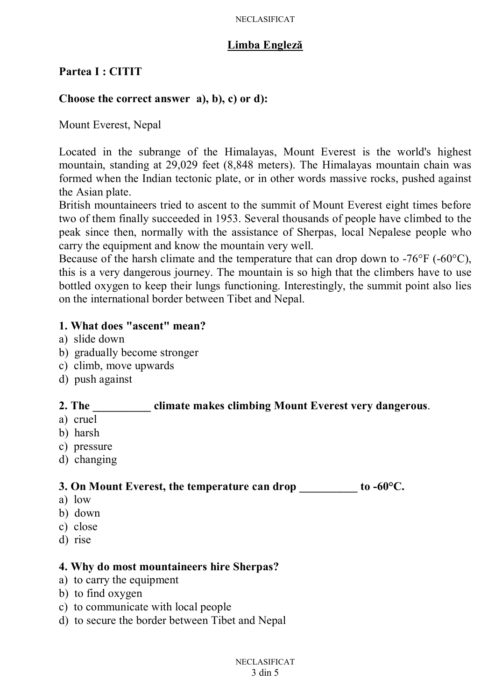#### **Limba Engleză**

#### **Partea I : CITIT**

#### **Choose the correct answer a), b), c) or d):**

Mount Everest, Nepal

Located in the subrange of the Himalayas, Mount Everest is the world's highest mountain, standing at 29,029 feet (8,848 meters). The Himalayas mountain chain was formed when the Indian tectonic plate, or in other words massive rocks, pushed against the Asian plate.

British mountaineers tried to ascent to the summit of Mount Everest eight times before two of them finally succeeded in 1953. Several thousands of people have climbed to the peak since then, normally with the assistance of Sherpas, local Nepalese people who carry the equipment and know the mountain very well.

Because of the harsh climate and the temperature that can drop down to -76°F (-60°C), this is a very dangerous journey. The mountain is so high that the climbers have to use bottled oxygen to keep their lungs functioning. Interestingly, the summit point also lies on the international border between Tibet and Nepal.

#### **1. What does "ascent" mean?**

- a) slide down
- b) gradually become stronger
- c) climb, move upwards
- d) push against

#### **2. The \_\_\_\_\_\_\_\_\_\_ climate makes climbing Mount Everest very dangerous**.

- a) cruel
- b) harsh
- c) pressure
- d) changing

**3. On Mount Everest, the temperature can drop \_\_\_\_\_\_\_\_\_\_ to -60°C.** 

- a) low
- b) down
- c) close
- d) rise

#### **4. Why do most mountaineers hire Sherpas?**

- a) to carry the equipment
- b) to find oxygen
- c) to communicate with local people
- d) to secure the border between Tibet and Nepal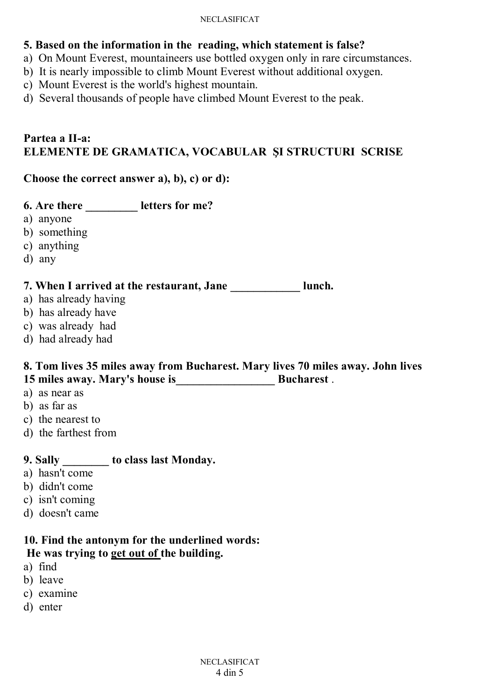#### NECLASIFICAT

- **5. Based on the information in the reading, which statement is false?**
- a) On Mount Everest, mountaineers use bottled oxygen only in rare circumstances.
- b) It is nearly impossible to climb Mount Everest without additional oxygen.
- c) Mount Everest is the world's highest mountain.
- d) Several thousands of people have climbed Mount Everest to the peak.

#### **Partea a II-a: ELEMENTE DE GRAMATICA, VOCABULAR ŞI STRUCTURI SCRISE**

#### **Choose the correct answer a), b), c) or d):**

- **6. Are there \_\_\_\_\_\_\_\_\_ letters for me?**
- a) anyone
- b) something
- c) anything
- d) any

#### **7. When I arrived at the restaurant, Jane \_\_\_\_\_\_\_\_\_\_\_\_ lunch.**

- a) has already having
- b) has already have
- c) was already had
- d) had already had

#### **8. Tom lives 35 miles away from Bucharest. Mary lives 70 miles away. John lives 15 miles away. Mary's house is\_\_\_\_\_\_\_\_\_\_\_\_\_\_\_\_\_ Bucharest** .

- a) as near as
- b) as far as
- c) the nearest to
- d) the farthest from

### **9. Sally \_\_\_\_\_\_\_\_ to class last Monday.**

- a) hasn't come
- b) didn't come
- c) isn't coming
- d) doesn't came

# **10. Find the antonym for the underlined words:**

## **He was trying to get out of the building.**

- a) find
- b) leave
- c) examine
- d) enter